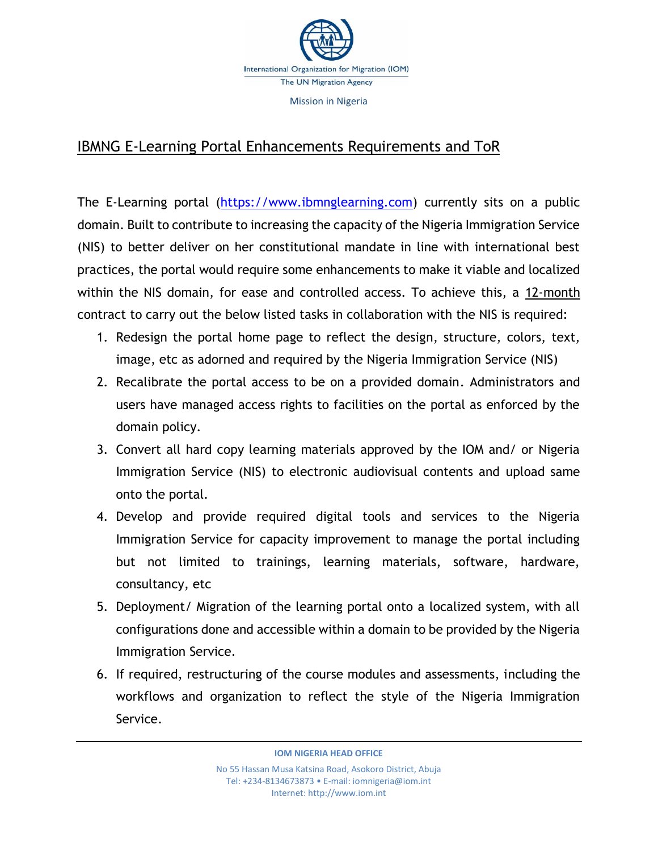

## IBMNG E-Learning Portal Enhancements Requirements and ToR

The E-Learning portal [\(https://www.ibmnglearning.com\)](https://www.ibmnglearning.com/) currently sits on a public domain. Built to contribute to increasing the capacity of the Nigeria Immigration Service (NIS) to better deliver on her constitutional mandate in line with international best practices, the portal would require some enhancements to make it viable and localized within the NIS domain, for ease and controlled access. To achieve this, a 12-month contract to carry out the below listed tasks in collaboration with the NIS is required:

- 1. Redesign the portal home page to reflect the design, structure, colors, text, image, etc as adorned and required by the Nigeria Immigration Service (NIS)
- 2. Recalibrate the portal access to be on a provided domain. Administrators and users have managed access rights to facilities on the portal as enforced by the domain policy.
- 3. Convert all hard copy learning materials approved by the IOM and/ or Nigeria Immigration Service (NIS) to electronic audiovisual contents and upload same onto the portal.
- 4. Develop and provide required digital tools and services to the Nigeria Immigration Service for capacity improvement to manage the portal including but not limited to trainings, learning materials, software, hardware, consultancy, etc
- 5. Deployment/ Migration of the learning portal onto a localized system, with all configurations done and accessible within a domain to be provided by the Nigeria Immigration Service.
- 6. If required, restructuring of the course modules and assessments, including the workflows and organization to reflect the style of the Nigeria Immigration Service.

**IOM NIGERIA HEAD OFFICE**